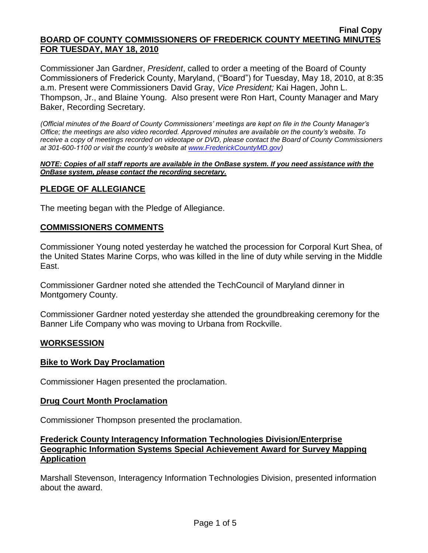Commissioner Jan Gardner, *President*, called to order a meeting of the Board of County Commissioners of Frederick County, Maryland, ("Board") for Tuesday, May 18, 2010, at 8:35 a.m. Present were Commissioners David Gray, *Vice President;* Kai Hagen, John L. Thompson, Jr., and Blaine Young. Also present were Ron Hart, County Manager and Mary Baker, Recording Secretary.

*(Official minutes of the Board of County Commissioners' meetings are kept on file in the County Manager's Office; the meetings are also video recorded. Approved minutes are available on the county's website. To receive a copy of meetings recorded on videotape or DVD, please contact the Board of County Commissioners at 301-600-1100 or visit the county's website at [www.FrederickCountyMD.gov\)](http://www.frederickcountymd.gov/)*

#### *NOTE: Copies of all staff reports are available in the OnBase system. If you need assistance with the OnBase system, please contact the recording secretary.*

# **PLEDGE OF ALLEGIANCE**

The meeting began with the Pledge of Allegiance.

### **COMMISSIONERS COMMENTS**

Commissioner Young noted yesterday he watched the procession for Corporal Kurt Shea, of the United States Marine Corps, who was killed in the line of duty while serving in the Middle East.

Commissioner Gardner noted she attended the TechCouncil of Maryland dinner in Montgomery County.

Commissioner Gardner noted yesterday she attended the groundbreaking ceremony for the Banner Life Company who was moving to Urbana from Rockville.

### **WORKSESSION**

### **Bike to Work Day Proclamation**

Commissioner Hagen presented the proclamation.

### **Drug Court Month Proclamation**

Commissioner Thompson presented the proclamation.

### **Frederick County Interagency Information Technologies Division/Enterprise Geographic Information Systems Special Achievement Award for Survey Mapping Application**

Marshall Stevenson, Interagency Information Technologies Division, presented information about the award.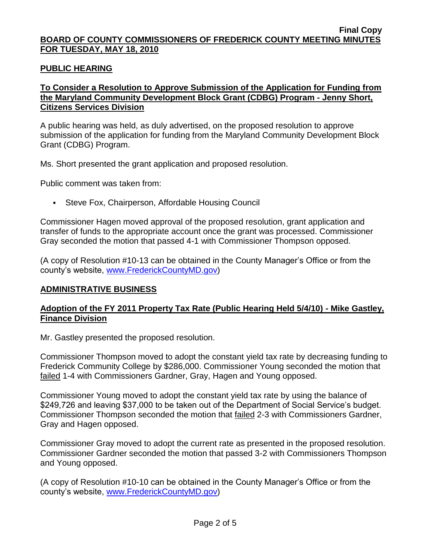### **PUBLIC HEARING**

# **To Consider a Resolution to Approve Submission of the Application for Funding from the Maryland Community Development Block Grant (CDBG) Program - Jenny Short, Citizens Services Division**

A public hearing was held, as duly advertised, on the proposed resolution to approve submission of the application for funding from the Maryland Community Development Block Grant (CDBG) Program.

Ms. Short presented the grant application and proposed resolution.

Public comment was taken from:

Steve Fox, Chairperson, Affordable Housing Council

Commissioner Hagen moved approval of the proposed resolution, grant application and transfer of funds to the appropriate account once the grant was processed. Commissioner Gray seconded the motion that passed 4-1 with Commissioner Thompson opposed.

(A copy of Resolution #10-13 can be obtained in the County Manager's Office or from the county's website, [www.FrederickCountyMD.gov\)](http://www.frederickcountymd.gov/)

### **ADMINISTRATIVE BUSINESS**

### **Adoption of the FY 2011 Property Tax Rate (Public Hearing Held 5/4/10) - Mike Gastley, Finance Division**

Mr. Gastley presented the proposed resolution.

Commissioner Thompson moved to adopt the constant yield tax rate by decreasing funding to Frederick Community College by \$286,000. Commissioner Young seconded the motion that failed 1-4 with Commissioners Gardner, Gray, Hagen and Young opposed.

Commissioner Young moved to adopt the constant yield tax rate by using the balance of \$249,726 and leaving \$37,000 to be taken out of the Department of Social Service's budget. Commissioner Thompson seconded the motion that failed 2-3 with Commissioners Gardner, Gray and Hagen opposed.

Commissioner Gray moved to adopt the current rate as presented in the proposed resolution. Commissioner Gardner seconded the motion that passed 3-2 with Commissioners Thompson and Young opposed.

(A copy of Resolution #10-10 can be obtained in the County Manager's Office or from the county's website, [www.FrederickCountyMD.gov\)](http://www.frederickcountymd.gov/)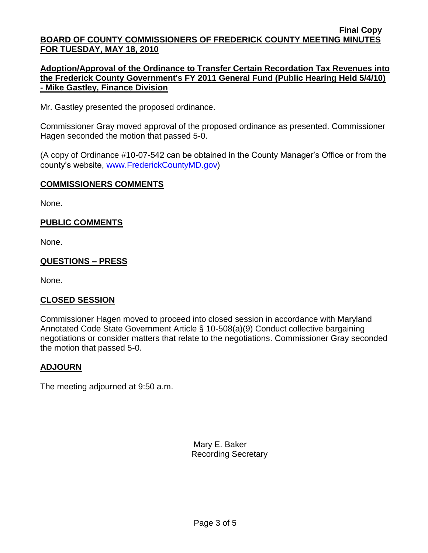### **Adoption/Approval of the Ordinance to Transfer Certain Recordation Tax Revenues into the Frederick County Government's FY 2011 General Fund (Public Hearing Held 5/4/10) - Mike Gastley, Finance Division**

Mr. Gastley presented the proposed ordinance.

Commissioner Gray moved approval of the proposed ordinance as presented. Commissioner Hagen seconded the motion that passed 5-0.

(A copy of Ordinance #10-07-542 can be obtained in the County Manager's Office or from the county's website, [www.FrederickCountyMD.gov\)](http://www.frederickcountymd.gov/)

### **COMMISSIONERS COMMENTS**

None.

# **PUBLIC COMMENTS**

None.

# **QUESTIONS – PRESS**

None.

### **CLOSED SESSION**

Commissioner Hagen moved to proceed into closed session in accordance with Maryland Annotated Code State Government Article § 10-508(a)(9) Conduct collective bargaining negotiations or consider matters that relate to the negotiations. Commissioner Gray seconded the motion that passed 5-0.

### **ADJOURN**

The meeting adjourned at 9:50 a.m.

Mary E. Baker Recording Secretary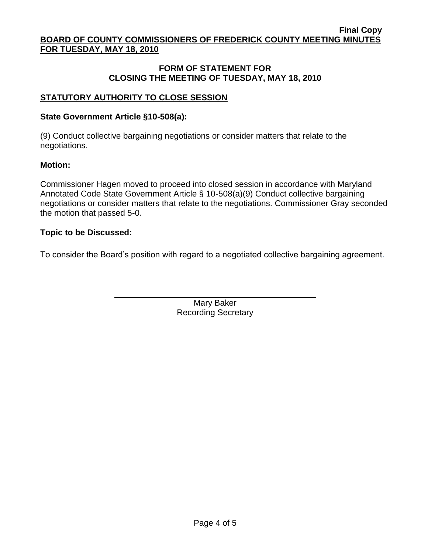# **FORM OF STATEMENT FOR CLOSING THE MEETING OF TUESDAY, MAY 18, 2010**

# **STATUTORY AUTHORITY TO CLOSE SESSION**

## **State Government Article §10-508(a):**

(9) Conduct collective bargaining negotiations or consider matters that relate to the negotiations.

### **Motion:**

Commissioner Hagen moved to proceed into closed session in accordance with Maryland Annotated Code State Government Article § 10-508(a)(9) Conduct collective bargaining negotiations or consider matters that relate to the negotiations. Commissioner Gray seconded the motion that passed 5-0.

### **Topic to be Discussed:**

To consider the Board's position with regard to a negotiated collective bargaining agreement.

Mary Baker Recording Secretary